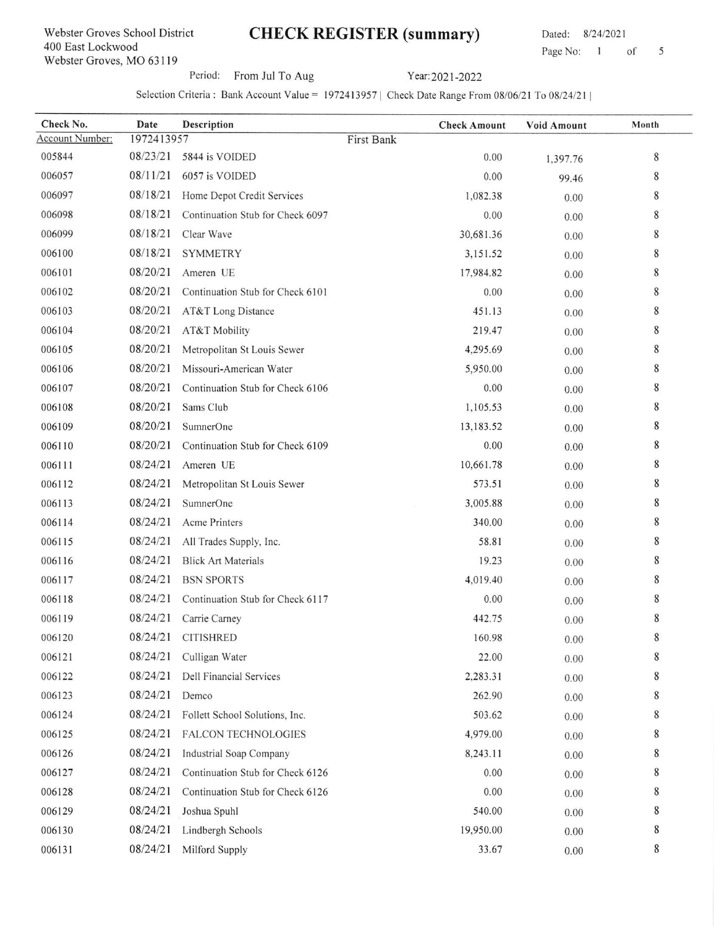## CHECK REGISTER (summary) Dated: 8/24/2021

Page No: 1 of 5

Period: From Jul To Aug Year: 2021-2022

Selection Criteria : Bank Account Value = 1972413957 | Check Date Range From 08/06/21 To 08/24/21 |

| Check No.              | Date       | Description                      | <b>Check Amount</b> | Void Amount | Month |
|------------------------|------------|----------------------------------|---------------------|-------------|-------|
| <b>Account Number:</b> | 1972413957 |                                  | First Bank          |             |       |
| 005844                 | 08/23/21   | 5844 is VOIDED                   | 0.00                | 1,397.76    | 8     |
| 006057                 | 08/11/21   | 6057 is VOIDED                   | 0.00                | 99.46       | 8     |
| 006097                 | 08/18/21   | Home Depot Credit Services       | 1,082.38            | 0.00        | 8     |
| 006098                 | 08/18/21   | Continuation Stub for Check 6097 | 0.00                | 0.00        | 8     |
| 006099                 | 08/18/21   | Clear Wave                       | 30,681.36           | 0.00        | 8     |
| 006100                 | 08/18/21   | <b>SYMMETRY</b>                  | 3,151.52            | 0.00        | 8     |
| 006101                 | 08/20/21   | Ameren UE                        | 17,984.82           | 0.00        | 8     |
| 006102                 | 08/20/21   | Continuation Stub for Check 6101 | 0.00                | 0.00        | 8     |
| 006103                 | 08/20/21   | AT&T Long Distance               | 451.13              | 0.00        | 8     |
| 006104                 | 08/20/21   | AT&T Mobility                    | 219.47              | 0.00        | 8     |
| 006105                 | 08/20/21   | Metropolitan St Louis Sewer      | 4,295.69            | 0.00        | 8     |
| 006106                 | 08/20/21   | Missouri-American Water          | 5,950.00            | 0.00        | 8     |
| 006107                 | 08/20/21   | Continuation Stub for Check 6106 | 0.00                | 0.00        | 8     |
| 006108                 | 08/20/21   | Sams Club                        | 1,105.53            | 0.00        | 8     |
| 006109                 | 08/20/21   | SumnerOne                        | 13,183.52           | 0.00        | 8     |
| 006110                 | 08/20/21   | Continuation Stub for Check 6109 | 0.00                | 0.00        | 8     |
| 006111                 | 08/24/21   | Ameren UE                        | 10,661.78           | 0.00        | 8     |
| 006112                 | 08/24/21   | Metropolitan St Louis Sewer      | 573.51              | 0.00        | 8     |
| 006113                 | 08/24/21   | SumnerOne                        | 3,005.88            | 0.00        | 8     |
| 006114                 | 08/24/21   | Acme Printers                    | 340.00              | 0.00        | 8     |
| 006115                 | 08/24/21   | All Trades Supply, Inc.          | 58.81               | 0.00        | 8     |
| 006116                 | 08/24/21   | <b>Blick Art Materials</b>       | 19.23               | 0.00        | 8     |
| 006117                 | 08/24/21   | <b>BSN SPORTS</b>                | 4,019.40            | 0.00        | 8     |
| 006118                 | 08/24/21   | Continuation Stub for Check 6117 | 0.00                | 0.00        | 8     |
| 006119                 | 08/24/21   | Carrie Carney                    | 442.75              | 0.00        | 8     |
| 006120                 | 08/24/21   | <b>CITISHRED</b>                 | 160.98              | 0.00        | 8     |
| 006121                 | 08/24/21   | Culligan Water                   | 22.00               | 0.00        | 8     |
| 006122                 | 08/24/21   | Dell Financial Services          | 2,283.31            | 0.00        | 8     |
| 006123                 | 08/24/21   | Demco                            | 262.90              | 0.00        | 8     |
| 006124                 | 08/24/21   | Follett School Solutions, Inc.   | 503.62              | 0.00        | 8     |
| 006125                 | 08/24/21   | FALCON TECHNOLOGIES              | 4,979.00            | 0.00        | 8     |
| 006126                 | 08/24/21   | <b>Industrial Soap Company</b>   | 8,243.11            | 0.00        | 8     |
| 006127                 | 08/24/21   | Continuation Stub for Check 6126 | 0.00                | 0.00        | 8     |
| 006128                 | 08/24/21   | Continuation Stub for Check 6126 | 0.00                | 0.00        | 8     |
| 006129                 | 08/24/21   | Joshua Spuhl                     | 540.00              | 0.00        | 8     |
| 006130                 | 08/24/21   | Lindbergh Schools                | 19,950.00           | 0.00        | 8     |
| 006131                 | 08/24/21   | Milford Supply                   | 33.67               | 0.00        | 8     |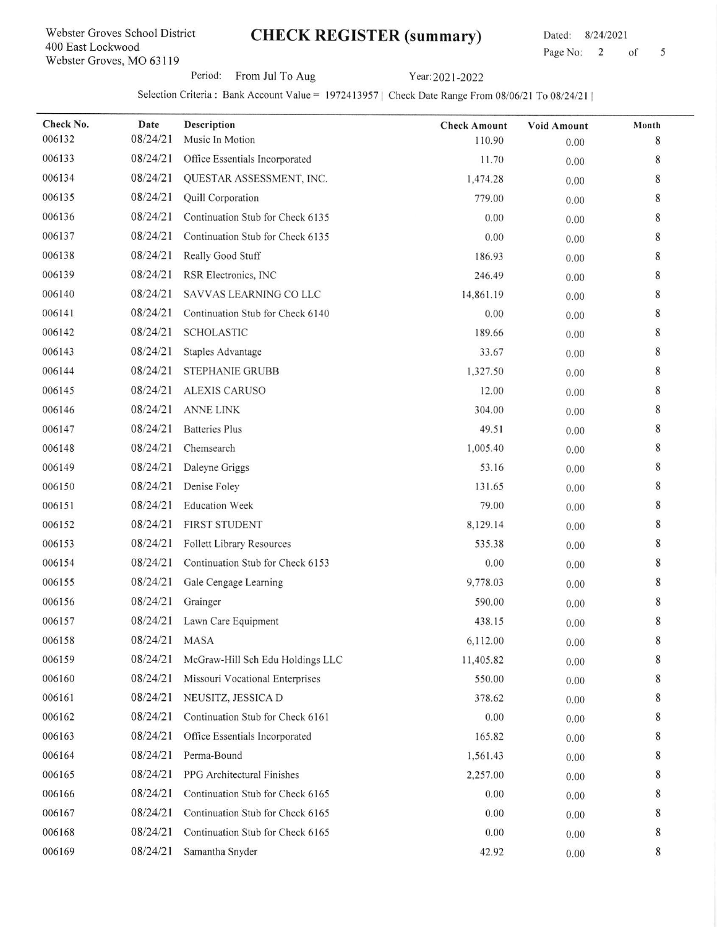## CHECK REGISTER (summary) Dated: 8/24/2021

Page No: 2 of 5

Period: From Jul To Aug Year: 2021-2022

Selection Criteria : Bank Account Value = 1972413957 | Check Date Range From 08/06/21 To 08/24/21 |

| Check No.<br>006132 | Date<br>08/24/21 | Description<br>Music In Motion   | <b>Check Amount</b><br>110.90 | <b>Void Amount</b><br>0.00 | Month<br>8 |
|---------------------|------------------|----------------------------------|-------------------------------|----------------------------|------------|
| 006133              | 08/24/21         | Office Essentials Incorporated   | 11.70                         | 0.00                       | 8          |
| 006134              | 08/24/21         | QUESTAR ASSESSMENT, INC.         | 1,474.28                      | 0.00                       | 8          |
| 006135              | 08/24/21         | Quill Corporation                | 779.00                        | 0.00                       | 8          |
| 006136              | 08/24/21         | Continuation Stub for Check 6135 | 0.00                          | 0.00                       | 8          |
| 006137              | 08/24/21         | Continuation Stub for Check 6135 | 0.00                          | 0.00                       | 8          |
| 006138              | 08/24/21         | Really Good Stuff                | 186.93                        | 0.00                       | 8          |
| 006139              | 08/24/21         | RSR Electronics, INC             | 246.49                        | 0.00                       | 8          |
| 006140              | 08/24/21         | SAVVAS LEARNING CO LLC           | 14,861.19                     | 0.00                       | 8          |
| 006141              | 08/24/21         | Continuation Stub for Check 6140 | 0.00                          | 0.00                       | 8          |
| 006142              | 08/24/21         | <b>SCHOLASTIC</b>                | 189.66                        | 0.00                       | 8          |
| 006143              | 08/24/21         | Staples Advantage                | 33.67                         | 0.00                       | 8          |
| 006144              | 08/24/21         | <b>STEPHANIE GRUBB</b>           | 1,327.50                      | 0.00                       | 8          |
| 006145              | 08/24/21         | <b>ALEXIS CARUSO</b>             | 12.00                         | 0.00                       | 8          |
| 006146              | 08/24/21         | ANNE LINK                        | 304.00                        | 0.00                       | 8          |
| 006147              | 08/24/21         | <b>Batteries Plus</b>            | 49.51                         | 0.00                       | 8          |
| 006148              | 08/24/21         | Chemsearch                       | 1,005.40                      | 0.00                       | 8          |
| 006149              | 08/24/21         | Daleyne Griggs                   | 53.16                         | 0.00                       | 8          |
| 006150              | 08/24/21         | Denise Foley                     | 131.65                        | 0.00                       | 8          |
| 006151              | 08/24/21         | <b>Education Week</b>            | 79.00                         | 0.00                       | 8          |
| 006152              | 08/24/21         | FIRST STUDENT                    | 8,129.14                      | 0.00                       | 8          |
| 006153              | 08/24/21         | Follett Library Resources        | 535.38                        | 0.00                       | 8          |
| 006154              | 08/24/21         | Continuation Stub for Check 6153 | 0.00                          | 0.00                       | 8          |
| 006155              | 08/24/21         | Gale Cengage Learning            | 9,778.03                      | 0.00                       | 8          |
| 006156              | 08/24/21         | Grainger                         | 590.00                        | 0.00                       | 8          |
| 006157              | 08/24/21         | Lawn Care Equipment              | 438.15                        | 0.00                       | 8          |
| 006158              | 08/24/21         | <b>MASA</b>                      | 6,112.00                      | 0.00                       | 8          |
| 006159              | 08/24/21         | McGraw-Hill Sch Edu Holdings LLC | 11,405.82                     | 0.00                       | 8          |
| 006160              | 08/24/21         | Missouri Vocational Enterprises  | 550.00                        | 0.00                       | 8          |
| 006161              | 08/24/21         | NEUSITZ, JESSICA D               | 378.62                        | 0.00                       | 8          |
| 006162              | 08/24/21         | Continuation Stub for Check 6161 | 0.00                          | 0.00                       | 8          |
| 006163              | 08/24/21         | Office Essentials Incorporated   | 165.82                        | 0.00                       | 8          |
| 006164              | 08/24/21         | Perma-Bound                      | 1,561.43                      | 0.00                       | 8          |
| 006165              | 08/24/21         | PPG Architectural Finishes       | 2,257.00                      | 0.00                       | 8          |
| 006166              | 08/24/21         | Continuation Stub for Check 6165 | 0.00                          | 0.00                       | 8          |
| 006167              | 08/24/21         | Continuation Stub for Check 6165 | 0.00                          | 0.00                       | 8          |
| 006168              | 08/24/21         | Continuation Stub for Check 6165 | 0.00                          | 0.00                       | 8          |
| 006169              | 08/24/21         | Samantha Snyder                  | 42.92                         | 0.00                       | 8          |